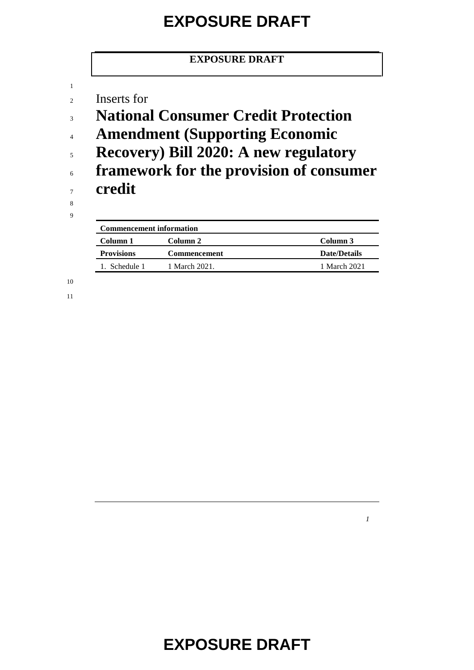#### **EXPOSURE DRAFT**

Inserts for

- **National Consumer Credit Protection**
- **Amendment (Supporting Economic**
- **Recovery) Bill 2020: A new regulatory**
- **framework for the provision of consumer credit**

 

| <b>Commencement information</b> |                     |                     |  |
|---------------------------------|---------------------|---------------------|--|
| Column 1                        | Column 2            | Column 3            |  |
| <b>Provisions</b>               | <b>Commencement</b> | <b>Date/Details</b> |  |
| 1. Schedule 1.                  | 1 March 2021.       | 1 March 2021        |  |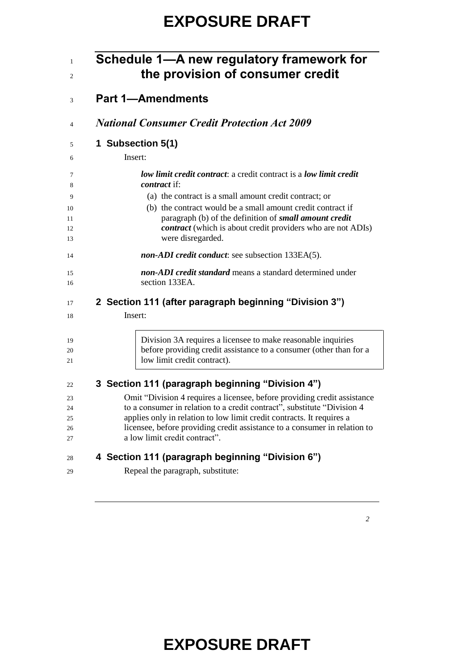| Schedule 1—A new regulatory framework for<br>the provision of consumer credit                           |
|---------------------------------------------------------------------------------------------------------|
| <b>Part 1-Amendments</b>                                                                                |
| <b>National Consumer Credit Protection Act 2009</b>                                                     |
| 1 Subsection 5(1)                                                                                       |
| Insert:                                                                                                 |
| <b><i>low limit credit contract: a credit contract is a low limit credit</i></b><br><i>contract</i> if: |
| (a) the contract is a small amount credit contract; or                                                  |
| (b) the contract would be a small amount credit contract if                                             |
| paragraph (b) of the definition of small amount credit                                                  |
| <i>contract</i> (which is about credit providers who are not ADIs)<br>were disregarded.                 |
| non-ADI credit conduct: see subsection 133EA(5).                                                        |
| non-ADI credit standard means a standard determined under                                               |
| section 133EA.                                                                                          |
| 2 Section 111 (after paragraph beginning "Division 3")                                                  |
| Insert:                                                                                                 |
| Division 3A requires a licensee to make reasonable inquiries                                            |
| before providing credit assistance to a consumer (other than for a                                      |
| low limit credit contract).                                                                             |
| 3 Section 111 (paragraph beginning "Division 4")                                                        |
| Omit "Division 4 requires a licensee, before providing credit assistance                                |
| to a consumer in relation to a credit contract", substitute "Division 4                                 |

- licensee, before providing credit assistance to a consumer in relation to
- a low limit credit contract".

#### **4 Section 111 (paragraph beginning "Division 6")**

applies only in relation to low limit credit contracts. It requires a

Repeal the paragraph, substitute: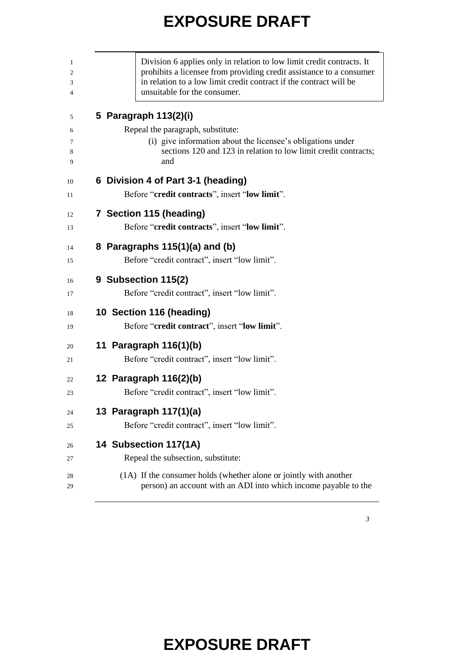| Division 6 applies only in relation to low limit credit contracts. It<br>prohibits a licensee from providing credit assistance to a consumer<br>in relation to a low limit credit contract if the contract will be<br>unsuitable for the consumer. |
|----------------------------------------------------------------------------------------------------------------------------------------------------------------------------------------------------------------------------------------------------|
| 5 Paragraph 113(2)(i)                                                                                                                                                                                                                              |
| Repeal the paragraph, substitute:                                                                                                                                                                                                                  |
| (i) give information about the licensee's obligations under<br>sections 120 and 123 in relation to low limit credit contracts;<br>and                                                                                                              |
| 6 Division 4 of Part 3-1 (heading)                                                                                                                                                                                                                 |
| Before "credit contracts", insert "low limit".                                                                                                                                                                                                     |
| 7 Section 115 (heading)                                                                                                                                                                                                                            |
| Before "credit contracts", insert "low limit".                                                                                                                                                                                                     |
| 8 Paragraphs $115(1)(a)$ and (b)                                                                                                                                                                                                                   |
| Before "credit contract", insert "low limit".                                                                                                                                                                                                      |
| 9 Subsection 115(2)                                                                                                                                                                                                                                |
| Before "credit contract", insert "low limit".                                                                                                                                                                                                      |
| 10 Section 116 (heading)                                                                                                                                                                                                                           |
| Before "credit contract", insert "low limit".                                                                                                                                                                                                      |
| 11 Paragraph 116(1)(b)                                                                                                                                                                                                                             |
| Before "credit contract", insert "low limit".                                                                                                                                                                                                      |
| 12 Paragraph 116(2)(b)                                                                                                                                                                                                                             |
| Before "credit contract", insert "low limit".                                                                                                                                                                                                      |
| 13 Paragraph 117(1)(a)                                                                                                                                                                                                                             |
| Before "credit contract", insert "low limit".                                                                                                                                                                                                      |
| 14 Subsection 117(1A)                                                                                                                                                                                                                              |
| Repeal the subsection, substitute:                                                                                                                                                                                                                 |
| (1A) If the consumer holds (whether alone or jointly with another                                                                                                                                                                                  |
| person) an account with an ADI into which income payable to the                                                                                                                                                                                    |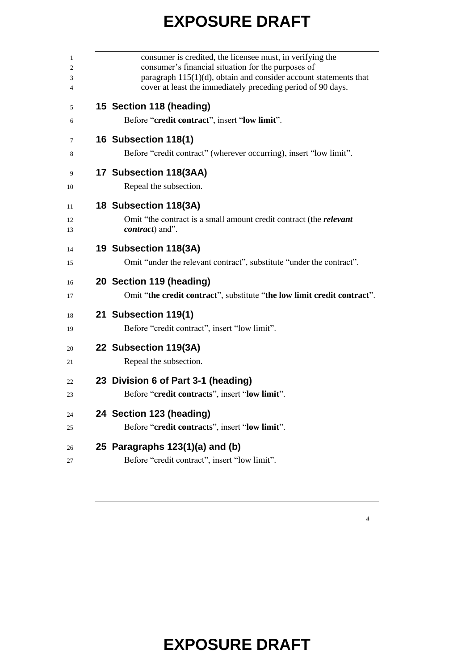| consumer is credited, the licensee must, in verifying the<br>consumer's financial situation for the purposes of                 |
|---------------------------------------------------------------------------------------------------------------------------------|
| paragraph 115(1)(d), obtain and consider account statements that<br>cover at least the immediately preceding period of 90 days. |
| 15 Section 118 (heading)<br>Before "credit contract", insert "low limit".                                                       |
|                                                                                                                                 |
| 16 Subsection 118(1)                                                                                                            |
| Before "credit contract" (wherever occurring), insert "low limit".                                                              |
| 17 Subsection 118(3AA)                                                                                                          |
| Repeal the subsection.                                                                                                          |
| 18 Subsection 118(3A)                                                                                                           |
| Omit "the contract is a small amount credit contract (the <i>relevant</i>                                                       |
| <i>contract</i> ) and".                                                                                                         |
| 19 Subsection 118(3A)                                                                                                           |
| Omit "under the relevant contract", substitute "under the contract".                                                            |
| 20 Section 119 (heading)                                                                                                        |
| Omit "the credit contract", substitute "the low limit credit contract".                                                         |
| 21 Subsection 119(1)                                                                                                            |
| Before "credit contract", insert "low limit".                                                                                   |
| 22 Subsection 119(3A)                                                                                                           |
| Repeal the subsection.                                                                                                          |
| 23 Division 6 of Part 3-1 (heading)                                                                                             |
| Before "credit contracts", insert "low limit".                                                                                  |
| 24 Section 123 (heading)                                                                                                        |
| Before "credit contracts", insert "low limit".                                                                                  |
| 25 Paragraphs 123(1)(a) and (b)                                                                                                 |
|                                                                                                                                 |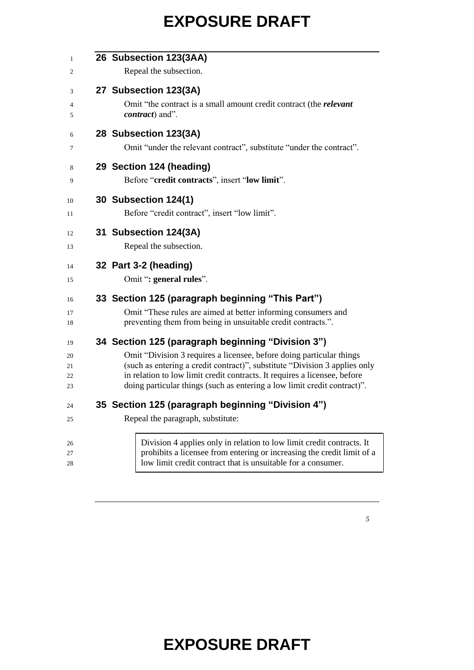| 1        | 26 Subsection 123(3AA)                                                                                                                             |
|----------|----------------------------------------------------------------------------------------------------------------------------------------------------|
| 2        | Repeal the subsection.                                                                                                                             |
| 3        | 27 Subsection 123(3A)                                                                                                                              |
| 4<br>5   | Omit "the contract is a small amount credit contract (the <i>relevant</i><br><i>contract</i> ) and".                                               |
| 6        | 28 Subsection 123(3A)                                                                                                                              |
| 7        | Omit "under the relevant contract", substitute "under the contract".                                                                               |
| 8        | 29 Section 124 (heading)                                                                                                                           |
| 9        | Before "credit contracts", insert "low limit".                                                                                                     |
| 10       | <b>30 Subsection 124(1)</b>                                                                                                                        |
| 11       | Before "credit contract", insert "low limit".                                                                                                      |
| 12       | 31 Subsection 124(3A)                                                                                                                              |
| 13       | Repeal the subsection.                                                                                                                             |
| 14       | 32 Part 3-2 (heading)                                                                                                                              |
| 15       | Omit ": general rules".                                                                                                                            |
| 16       | 33 Section 125 (paragraph beginning "This Part")                                                                                                   |
| 17       | Omit "These rules are aimed at better informing consumers and                                                                                      |
| 18       | preventing them from being in unsuitable credit contracts.".                                                                                       |
| 19       | 34 Section 125 (paragraph beginning "Division 3")                                                                                                  |
| 20       | Omit "Division 3 requires a licensee, before doing particular things<br>(such as entering a credit contract)", substitute "Division 3 applies only |
| 21<br>22 | in relation to low limit credit contracts. It requires a licensee, before                                                                          |
| 23       | doing particular things (such as entering a low limit credit contract)".                                                                           |
| 24       | 35 Section 125 (paragraph beginning "Division 4")                                                                                                  |
| 25       | Repeal the paragraph, substitute:                                                                                                                  |
|          |                                                                                                                                                    |
| 26       | Division 4 applies only in relation to low limit credit contracts. It                                                                              |
| 27<br>28 | prohibits a licensee from entering or increasing the credit limit of a<br>low limit credit contract that is unsuitable for a consumer.             |
|          |                                                                                                                                                    |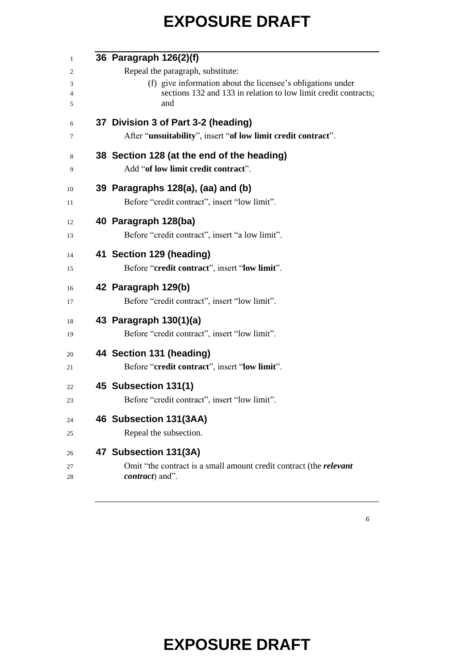| 36 Paragraph 126(2)(f)                                                    |
|---------------------------------------------------------------------------|
| Repeal the paragraph, substitute:                                         |
| (f) give information about the licensee's obligations under               |
| sections 132 and 133 in relation to low limit credit contracts;<br>and    |
| 37 Division 3 of Part 3-2 (heading)                                       |
| After "unsuitability", insert "of low limit credit contract".             |
| 38 Section 128 (at the end of the heading)                                |
| Add "of low limit credit contract".                                       |
| 39 Paragraphs 128(a), (aa) and (b)                                        |
| Before "credit contract", insert "low limit".                             |
| 40 Paragraph 128(ba)                                                      |
| Before "credit contract", insert "a low limit".                           |
| 41 Section 129 (heading)                                                  |
| Before "credit contract", insert "low limit".                             |
| 42 Paragraph 129(b)                                                       |
| Before "credit contract", insert "low limit".                             |
| 43 Paragraph 130(1)(a)                                                    |
| Before "credit contract", insert "low limit".                             |
| 44 Section 131 (heading)                                                  |
| Before "credit contract", insert "low limit".                             |
| 45 Subsection 131(1)                                                      |
| Before "credit contract", insert "low limit".                             |
| 46 Subsection 131(3AA)                                                    |
| Repeal the subsection.                                                    |
| 47 Subsection 131(3A)                                                     |
| Omit "the contract is a small amount credit contract (the <i>relevant</i> |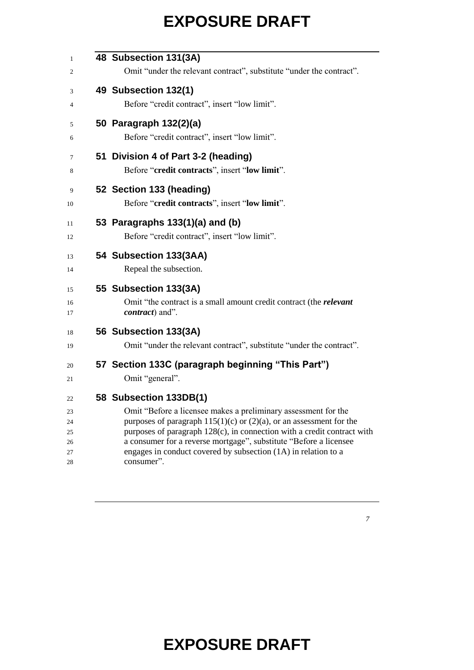| $\mathbf{1}$ | 48 Subsection 131(3A)                                                     |
|--------------|---------------------------------------------------------------------------|
| 2            | Omit "under the relevant contract", substitute "under the contract".      |
| 3            | 49 Subsection 132(1)                                                      |
| 4            | Before "credit contract", insert "low limit".                             |
|              |                                                                           |
| 5            | 50 Paragraph 132(2)(a)                                                    |
| 6            | Before "credit contract", insert "low limit".                             |
| 7            | 51 Division 4 of Part 3-2 (heading)                                       |
| 8            | Before "credit contracts", insert "low limit".                            |
| 9            | 52 Section 133 (heading)                                                  |
| 10           | Before "credit contracts", insert "low limit".                            |
|              |                                                                           |
| 11           | 53 Paragraphs 133(1)(a) and (b)                                           |
| 12           | Before "credit contract", insert "low limit".                             |
| 13           | 54 Subsection 133(3AA)                                                    |
| 14           | Repeal the subsection.                                                    |
| 15           | 55 Subsection 133(3A)                                                     |
| 16           | Omit "the contract is a small amount credit contract (the <i>relevant</i> |
| 17           | <i>contract</i> ) and".                                                   |
| 18           | 56 Subsection 133(3A)                                                     |
| 19           | Omit "under the relevant contract", substitute "under the contract".      |
| 20           | 57 Section 133C (paragraph beginning "This Part")                         |
| 21           | Omit "general".                                                           |
| 22           | 58 Subsection 133DB(1)                                                    |
| 23           | Omit "Before a licensee makes a preliminary assessment for the            |
| 24           | purposes of paragraph $115(1)(c)$ or $(2)(a)$ , or an assessment for the  |
| 25           | purposes of paragraph 128(c), in connection with a credit contract with   |
| 26           | a consumer for a reverse mortgage", substitute "Before a licensee         |
| 27           | engages in conduct covered by subsection (1A) in relation to a            |
| 28           | consumer".                                                                |
|              |                                                                           |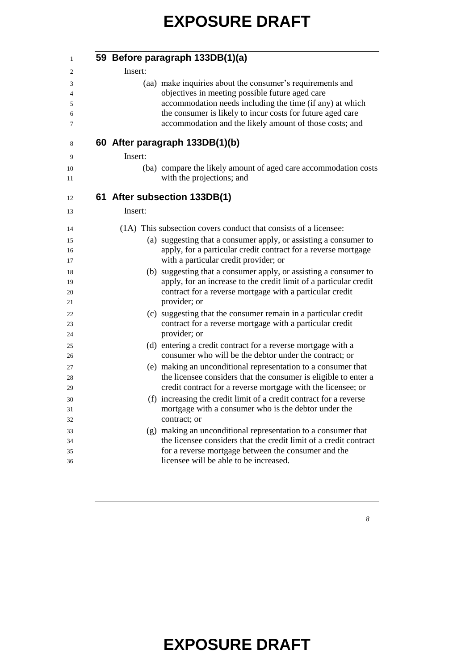| 59 Before paragraph 133DB(1)(a)                                                                                                                                                                                                                                                                   |
|---------------------------------------------------------------------------------------------------------------------------------------------------------------------------------------------------------------------------------------------------------------------------------------------------|
| Insert:                                                                                                                                                                                                                                                                                           |
| (aa) make inquiries about the consumer's requirements and<br>objectives in meeting possible future aged care<br>accommodation needs including the time (if any) at which<br>the consumer is likely to incur costs for future aged care<br>accommodation and the likely amount of those costs; and |
| 60 After paragraph 133DB(1)(b)                                                                                                                                                                                                                                                                    |
| Insert:                                                                                                                                                                                                                                                                                           |
| (ba) compare the likely amount of aged care accommodation costs<br>with the projections; and                                                                                                                                                                                                      |
| 61 After subsection 133DB(1)                                                                                                                                                                                                                                                                      |
| Insert:                                                                                                                                                                                                                                                                                           |
| (1A) This subsection covers conduct that consists of a licensee:                                                                                                                                                                                                                                  |
| (a) suggesting that a consumer apply, or assisting a consumer to                                                                                                                                                                                                                                  |
| apply, for a particular credit contract for a reverse mortgage<br>with a particular credit provider; or                                                                                                                                                                                           |
| (b) suggesting that a consumer apply, or assisting a consumer to<br>apply, for an increase to the credit limit of a particular credit<br>contract for a reverse mortgage with a particular credit<br>provider; or                                                                                 |
| (c) suggesting that the consumer remain in a particular credit<br>contract for a reverse mortgage with a particular credit                                                                                                                                                                        |
| provider; or                                                                                                                                                                                                                                                                                      |
| (d) entering a credit contract for a reverse mortgage with a<br>consumer who will be the debtor under the contract; or                                                                                                                                                                            |
| (e) making an unconditional representation to a consumer that                                                                                                                                                                                                                                     |
| the licensee considers that the consumer is eligible to enter a                                                                                                                                                                                                                                   |
| credit contract for a reverse mortgage with the licensee; or                                                                                                                                                                                                                                      |
| (f) increasing the credit limit of a credit contract for a reverse                                                                                                                                                                                                                                |
| mortgage with a consumer who is the debtor under the<br>contract; or                                                                                                                                                                                                                              |
| (g) making an unconditional representation to a consumer that                                                                                                                                                                                                                                     |
| the licensee considers that the credit limit of a credit contract                                                                                                                                                                                                                                 |
| for a reverse mortgage between the consumer and the                                                                                                                                                                                                                                               |
| licensee will be able to be increased.                                                                                                                                                                                                                                                            |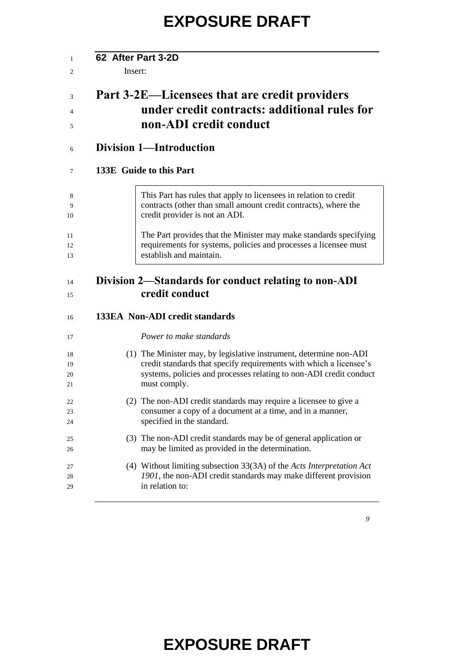| 62 After Part 3-2D             |                                                                                                                                                                                                                                |  |
|--------------------------------|--------------------------------------------------------------------------------------------------------------------------------------------------------------------------------------------------------------------------------|--|
| Insert:                        |                                                                                                                                                                                                                                |  |
|                                | Part 3-2E—Licensees that are credit providers<br>under credit contracts: additional rules for<br>non-ADI credit conduct                                                                                                        |  |
| <b>Division 1-Introduction</b> |                                                                                                                                                                                                                                |  |
| 133E Guide to this Part        |                                                                                                                                                                                                                                |  |
|                                | This Part has rules that apply to licensees in relation to credit<br>contracts (other than small amount credit contracts), where the<br>credit provider is not an ADI.                                                         |  |
|                                | The Part provides that the Minister may make standards specifying<br>requirements for systems, policies and processes a licensee must<br>establish and maintain.                                                               |  |
|                                | Division 2—Standards for conduct relating to non-ADI<br>credit conduct                                                                                                                                                         |  |
|                                | <b>133EA Non-ADI credit standards</b>                                                                                                                                                                                          |  |
|                                | Power to make standards                                                                                                                                                                                                        |  |
|                                | (1) The Minister may, by legislative instrument, determine non-ADI<br>credit standards that specify requirements with which a licensee's<br>systems, policies and processes relating to non-ADI credit conduct<br>must comply. |  |
|                                | (2) The non-ADI credit standards may require a licensee to give a<br>consumer a copy of a document at a time, and in a manner,<br>specified in the standard.                                                                   |  |
|                                |                                                                                                                                                                                                                                |  |

- (3) The non-ADI credit standards may be of general application or may be limited as provided in the determination. (4) Without limiting subsection 33(3A) of the *Acts Interpretation Act*
- *1901*, the non-ADI credit standards may make different provision in relation to: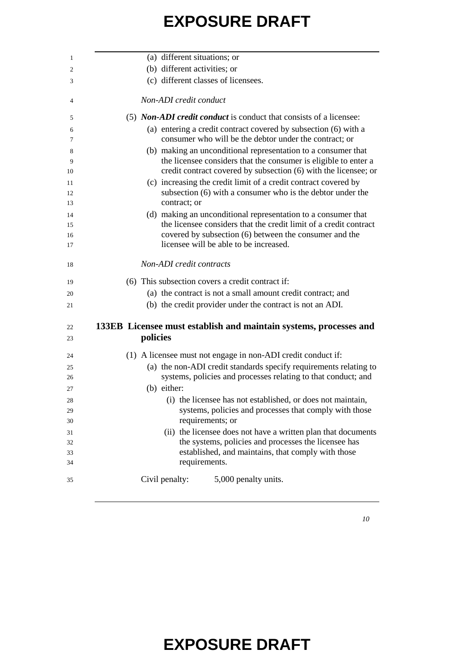| (a) different situations; or                                                                                                                                                                                                                        |
|-----------------------------------------------------------------------------------------------------------------------------------------------------------------------------------------------------------------------------------------------------|
| (b) different activities; or                                                                                                                                                                                                                        |
| (c) different classes of licensees.                                                                                                                                                                                                                 |
| Non-ADI credit conduct                                                                                                                                                                                                                              |
| (5) <i>Non-ADI credit conduct</i> is conduct that consists of a licensee:                                                                                                                                                                           |
| (a) entering a credit contract covered by subsection (6) with a<br>consumer who will be the debtor under the contract; or                                                                                                                           |
| (b) making an unconditional representation to a consumer that<br>the licensee considers that the consumer is eligible to enter a<br>credit contract covered by subsection (6) with the licensee; or                                                 |
| (c) increasing the credit limit of a credit contract covered by<br>subsection (6) with a consumer who is the debtor under the<br>contract; or                                                                                                       |
| (d) making an unconditional representation to a consumer that                                                                                                                                                                                       |
| the licensee considers that the credit limit of a credit contract                                                                                                                                                                                   |
| covered by subsection (6) between the consumer and the                                                                                                                                                                                              |
| licensee will be able to be increased.                                                                                                                                                                                                              |
| Non-ADI credit contracts                                                                                                                                                                                                                            |
| (6) This subsection covers a credit contract if:                                                                                                                                                                                                    |
| (a) the contract is not a small amount credit contract; and                                                                                                                                                                                         |
| (b) the credit provider under the contract is not an ADI.                                                                                                                                                                                           |
| 133EB Licensee must establish and maintain systems, processes and                                                                                                                                                                                   |
| policies                                                                                                                                                                                                                                            |
| (1) A licensee must not engage in non-ADI credit conduct if:                                                                                                                                                                                        |
| (a) the non-ADI credit standards specify requirements relating to                                                                                                                                                                                   |
|                                                                                                                                                                                                                                                     |
|                                                                                                                                                                                                                                                     |
| (b) either:                                                                                                                                                                                                                                         |
| (i) the licensee has not established, or does not maintain,                                                                                                                                                                                         |
|                                                                                                                                                                                                                                                     |
| requirements; or                                                                                                                                                                                                                                    |
|                                                                                                                                                                                                                                                     |
| the systems, policies and processes the licensee has                                                                                                                                                                                                |
| established, and maintains, that comply with those                                                                                                                                                                                                  |
| systems, policies and processes relating to that conduct; and<br>systems, policies and processes that comply with those<br>(ii) the licensee does not have a written plan that documents<br>requirements.<br>Civil penalty:<br>5,000 penalty units. |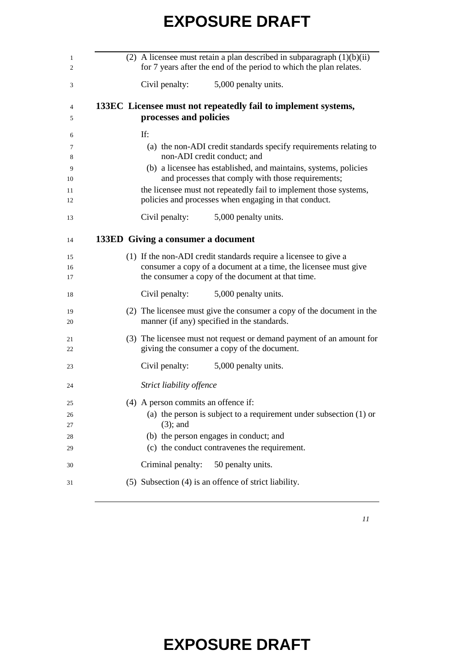| (2) A licensee must retain a plan described in subparagraph $(1)(b)(ii)$<br>for 7 years after the end of the period to which the plan relates.                                                                                                                                                                                                                  |
|-----------------------------------------------------------------------------------------------------------------------------------------------------------------------------------------------------------------------------------------------------------------------------------------------------------------------------------------------------------------|
| Civil penalty:<br>5,000 penalty units.                                                                                                                                                                                                                                                                                                                          |
| 133EC Licensee must not repeatedly fail to implement systems,<br>processes and policies                                                                                                                                                                                                                                                                         |
| If:<br>(a) the non-ADI credit standards specify requirements relating to<br>non-ADI credit conduct; and<br>(b) a licensee has established, and maintains, systems, policies<br>and processes that comply with those requirements;<br>the licensee must not repeatedly fail to implement those systems,<br>policies and processes when engaging in that conduct. |
| Civil penalty:<br>5,000 penalty units.                                                                                                                                                                                                                                                                                                                          |
| 133ED Giving a consumer a document                                                                                                                                                                                                                                                                                                                              |
| (1) If the non-ADI credit standards require a licensee to give a<br>consumer a copy of a document at a time, the licensee must give<br>the consumer a copy of the document at that time.                                                                                                                                                                        |
| Civil penalty:<br>5,000 penalty units.                                                                                                                                                                                                                                                                                                                          |
| (2) The licensee must give the consumer a copy of the document in the<br>manner (if any) specified in the standards.                                                                                                                                                                                                                                            |
| (3) The licensee must not request or demand payment of an amount for<br>giving the consumer a copy of the document.                                                                                                                                                                                                                                             |
| Civil penalty:<br>5,000 penalty units.                                                                                                                                                                                                                                                                                                                          |
| Strict liability offence                                                                                                                                                                                                                                                                                                                                        |
| (4) A person commits an offence if:<br>(a) the person is subject to a requirement under subsection $(1)$ or<br>$(3)$ ; and<br>(b) the person engages in conduct; and<br>(c) the conduct contravenes the requirement.                                                                                                                                            |
| 50 penalty units.<br>Criminal penalty:                                                                                                                                                                                                                                                                                                                          |
| (5) Subsection (4) is an offence of strict liability.                                                                                                                                                                                                                                                                                                           |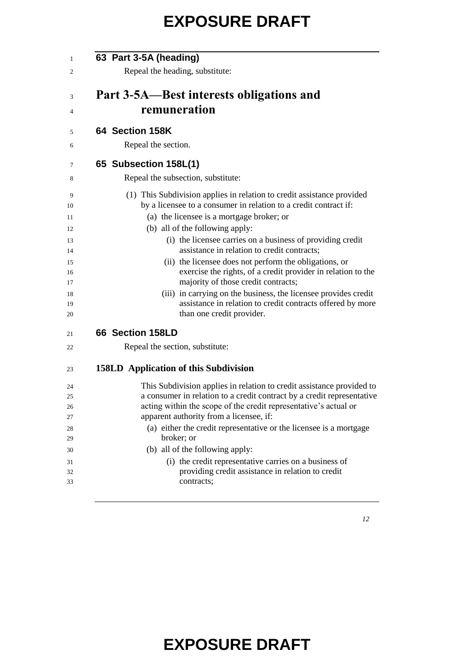| 63 Part 3-5A (heading)                                                                                                                     |
|--------------------------------------------------------------------------------------------------------------------------------------------|
| Repeal the heading, substitute:                                                                                                            |
|                                                                                                                                            |
| Part 3-5A—Best interests obligations and                                                                                                   |
| remuneration                                                                                                                               |
| 64 Section 158K                                                                                                                            |
| Repeal the section.                                                                                                                        |
| 65 Subsection 158L(1)                                                                                                                      |
| Repeal the subsection, substitute:                                                                                                         |
| (1) This Subdivision applies in relation to credit assistance provided                                                                     |
| by a licensee to a consumer in relation to a credit contract if:                                                                           |
| (a) the licensee is a mortgage broker; or                                                                                                  |
| (b) all of the following apply:<br>(i) the licensee carries on a business of providing credit                                              |
| assistance in relation to credit contracts;                                                                                                |
| (ii) the licensee does not perform the obligations, or                                                                                     |
| exercise the rights, of a credit provider in relation to the                                                                               |
| majority of those credit contracts;                                                                                                        |
| (iii) in carrying on the business, the licensee provides credit                                                                            |
| assistance in relation to credit contracts offered by more<br>than one credit provider.                                                    |
| 66 Section 158LD                                                                                                                           |
| Repeal the section, substitute:                                                                                                            |
|                                                                                                                                            |
| <b>158LD</b> Application of this Subdivision                                                                                               |
| This Subdivision applies in relation to credit assistance provided to                                                                      |
| a consumer in relation to a credit contract by a credit representative<br>acting within the scope of the credit representative's actual or |
| apparent authority from a licensee, if:                                                                                                    |
| (a) either the credit representative or the licensee is a mortgage                                                                         |
| broker; or                                                                                                                                 |
| (b) all of the following apply:                                                                                                            |
| (i) the credit representative carries on a business of                                                                                     |
| providing credit assistance in relation to credit                                                                                          |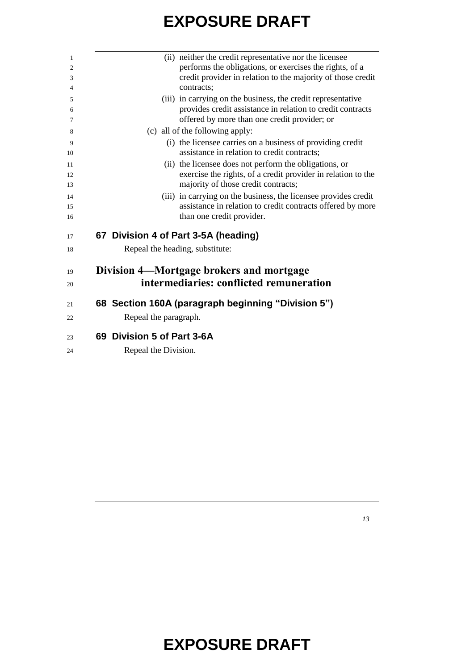| 1              | (ii) neither the credit representative nor the licensee                                                   |
|----------------|-----------------------------------------------------------------------------------------------------------|
| $\overline{2}$ | performs the obligations, or exercises the rights, of a                                                   |
| 3              | credit provider in relation to the majority of those credit                                               |
| 4              | contracts;                                                                                                |
| 5              | (iii) in carrying on the business, the credit representative                                              |
| 6              | provides credit assistance in relation to credit contracts                                                |
| 7              | offered by more than one credit provider; or                                                              |
| 8              | (c) all of the following apply:                                                                           |
| 9<br>10        | (i) the licensee carries on a business of providing credit<br>assistance in relation to credit contracts; |
| 11             | (ii) the licensee does not perform the obligations, or                                                    |
| 12             | exercise the rights, of a credit provider in relation to the                                              |
| 13             | majority of those credit contracts;                                                                       |
| 14             | (iii) in carrying on the business, the licensee provides credit                                           |
| 15             | assistance in relation to credit contracts offered by more                                                |
| 16             | than one credit provider.                                                                                 |
| 17             | 67 Division 4 of Part 3-5A (heading)                                                                      |
| 18             | Repeal the heading, substitute:                                                                           |
| 19             | Division 4—Mortgage brokers and mortgage                                                                  |
| 20             | intermediaries: conflicted remuneration                                                                   |
| 21             | 68 Section 160A (paragraph beginning "Division 5")                                                        |
| 22             | Repeal the paragraph.                                                                                     |
| 23             | 69 Division 5 of Part 3-6A                                                                                |
| 24             | Repeal the Division.                                                                                      |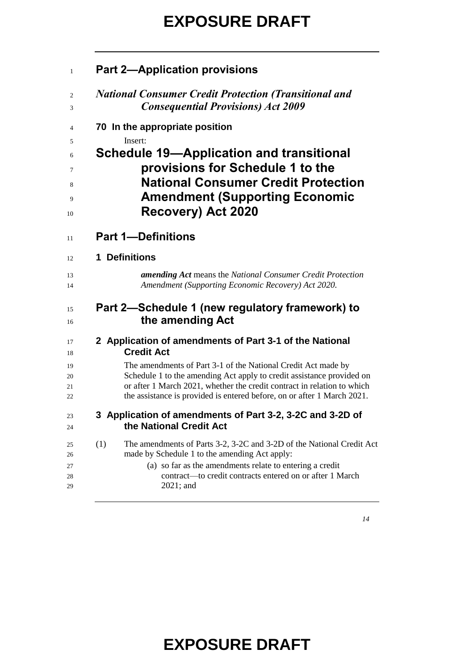| $\mathbf{1}$               | <b>Part 2-Application provisions</b>                                                                                                                                                                                                                                  |
|----------------------------|-----------------------------------------------------------------------------------------------------------------------------------------------------------------------------------------------------------------------------------------------------------------------|
| 2                          | <b>National Consumer Credit Protection (Transitional and</b>                                                                                                                                                                                                          |
| 3                          | <b>Consequential Provisions) Act 2009</b>                                                                                                                                                                                                                             |
| 4                          | 70 In the appropriate position                                                                                                                                                                                                                                        |
| 5                          | Insert:                                                                                                                                                                                                                                                               |
| 6                          | <b>Schedule 19—Application and transitional</b>                                                                                                                                                                                                                       |
| 7                          | provisions for Schedule 1 to the                                                                                                                                                                                                                                      |
| 8                          | <b>National Consumer Credit Protection</b>                                                                                                                                                                                                                            |
| 9                          | <b>Amendment (Supporting Economic</b>                                                                                                                                                                                                                                 |
| 10                         | Recovery) Act 2020                                                                                                                                                                                                                                                    |
| 11                         | <b>Part 1-Definitions</b>                                                                                                                                                                                                                                             |
| 12                         | 1 Definitions                                                                                                                                                                                                                                                         |
| 13                         | <b>amending Act</b> means the National Consumer Credit Protection                                                                                                                                                                                                     |
| 14                         | Amendment (Supporting Economic Recovery) Act 2020.                                                                                                                                                                                                                    |
| 15                         | Part 2—Schedule 1 (new regulatory framework) to                                                                                                                                                                                                                       |
| 16                         | the amending Act                                                                                                                                                                                                                                                      |
| 17                         | 2 Application of amendments of Part 3-1 of the National                                                                                                                                                                                                               |
| 18                         | <b>Credit Act</b>                                                                                                                                                                                                                                                     |
| 19                         | The amendments of Part 3-1 of the National Credit Act made by                                                                                                                                                                                                         |
| 20                         | Schedule 1 to the amending Act apply to credit assistance provided on                                                                                                                                                                                                 |
| 21                         | or after 1 March 2021, whether the credit contract in relation to which                                                                                                                                                                                               |
| 22                         | the assistance is provided is entered before, on or after 1 March 2021.                                                                                                                                                                                               |
| 23                         | 3 Application of amendments of Part 3-2, 3-2C and 3-2D of                                                                                                                                                                                                             |
| 24                         | the National Credit Act                                                                                                                                                                                                                                               |
| 25<br>26<br>27<br>28<br>29 | The amendments of Parts 3-2, 3-2C and 3-2D of the National Credit Act<br>(1)<br>made by Schedule 1 to the amending Act apply:<br>(a) so far as the amendments relate to entering a credit<br>contract—to credit contracts entered on or after 1 March<br>$2021$ ; and |